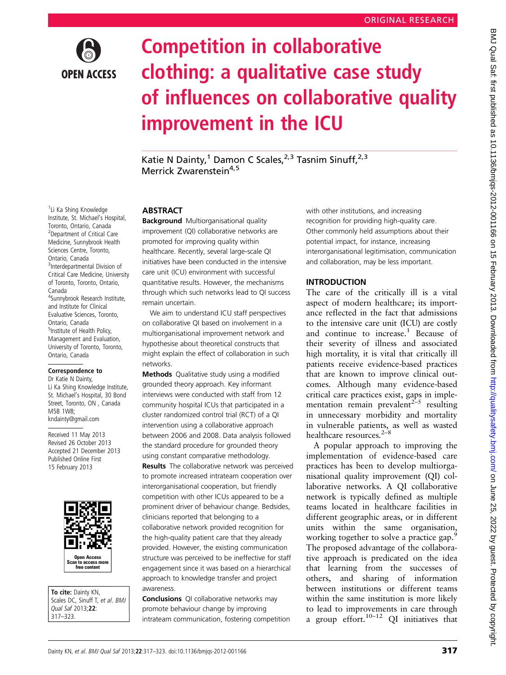

# Competition in collaborative clothing: a qualitative case study of influences on collaborative quality improvement in the ICU

Katie N Dainty,<sup>1</sup> Damon C Scales,<sup>2,3</sup> Tasnim Sinuff,<sup>2,3</sup> Merrick Zwarenstein<sup>4,5</sup>

<sup>1</sup>Li Ka Shing Knowledge Institute, St. Michael's Hospital, Toronto, Ontario, Canada <sup>2</sup> Department of Critical Care Medicine, Sunnybrook Health Sciences Centre, Toronto, Ontario, Canada <sup>3</sup>Interdepartmental Division of Critical Care Medicine, University of Toronto, Toronto, Ontario, Canada 4 Sunnybrook Research Institute, and Institute for Clinical Evaluative Sciences, Toronto, Ontario, Canada <sup>5</sup> Institute of Health Policy, Management and Evaluation, University of Toronto, Toronto, Ontario, Canada

#### Correspondence to

Dr Katie N Dainty, Li Ka Shing Knowledge Institute, St. Michael's Hospital, 30 Bond Street, Toronto, ON , Canada M5B 1W8; kndainty@gmail.com

Received 11 May 2013 Revised 26 October 2013 Accepted 21 December 2013 Published Online First 15 February 2013



To cite: Dainty KN, Scales DC, Sinuff T, et al. BMJ Qual Saf 2013;22: 317–323.

#### ABSTRACT

**Background** Multiorganisational quality improvement (QI) collaborative networks are promoted for improving quality within healthcare. Recently, several large-scale QI initiatives have been conducted in the intensive care unit (ICU) environment with successful quantitative results. However, the mechanisms through which such networks lead to QI success remain uncertain.

We aim to understand ICU staff perspectives on collaborative QI based on involvement in a multiorganisational improvement network and hypothesise about theoretical constructs that might explain the effect of collaboration in such networks.

Methods Qualitative study using a modified grounded theory approach. Key informant interviews were conducted with staff from 12 community hospital ICUs that participated in a cluster randomized control trial (RCT) of a QI intervention using a collaborative approach between 2006 and 2008. Data analysis followed the standard procedure for grounded theory using constant comparative methodology. **Results** The collaborative network was perceived to promote increased intrateam cooperation over interorganisational cooperation, but friendly competition with other ICUs appeared to be a prominent driver of behaviour change. Bedsides, clinicians reported that belonging to a collaborative network provided recognition for the high-quality patient care that they already provided. However, the existing communication structure was perceived to be ineffective for staff engagement since it was based on a hierarchical approach to knowledge transfer and project awareness.

Conclusions QI collaborative networks may promote behaviour change by improving intrateam communication, fostering competition with other institutions, and increasing recognition for providing high-quality care. Other commonly held assumptions about their potential impact, for instance, increasing interorganisational legitimisation, communication and collaboration, may be less important.

#### INTRODUCTION

The care of the critically ill is a vital aspect of modern healthcare; its importance reflected in the fact that admissions to the intensive care unit (ICU) are costly and continue to increase.<sup>1</sup> Because of their severity of illness and associated high mortality, it is vital that critically ill patients receive evidence-based practices that are known to improve clinical outcomes. Although many evidence-based critical care practices exist, gaps in implementation remain prevalent<sup>2-5</sup> resulting in unnecessary morbidity and mortality in vulnerable patients, as well as wasted healthcare resources.<sup>2-8</sup>

A popular approach to improving the implementation of evidence-based care practices has been to develop multiorganisational quality improvement (QI) collaborative networks. A QI collaborative network is typically defined as multiple teams located in healthcare facilities in different geographic areas, or in different units within the same organisation, working together to solve a practice gap.<sup>9</sup> The proposed advantage of the collaborative approach is predicated on the idea that learning from the successes of others, and sharing of information between institutions or different teams within the same institution is more likely to lead to improvements in care through a group effort.<sup>10-12</sup> QI initiatives that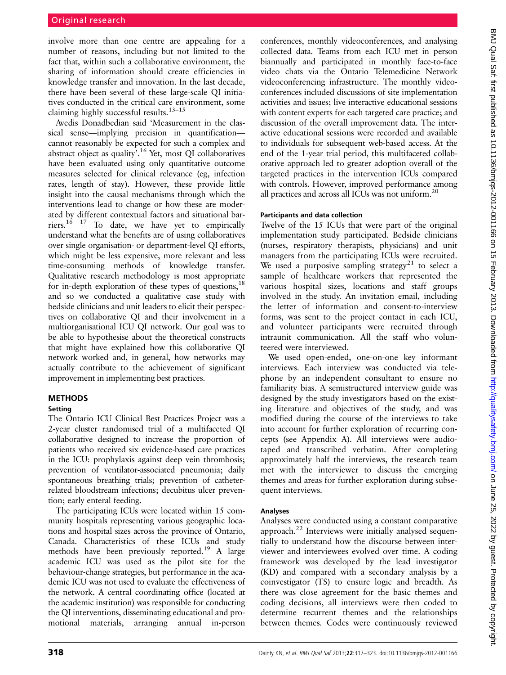involve more than one centre are appealing for a number of reasons, including but not limited to the fact that, within such a collaborative environment, the sharing of information should create efficiencies in knowledge transfer and innovation. In the last decade, there have been several of these large-scale QI initiatives conducted in the critical care environment, some claiming highly successful results.<sup>13-15</sup>

Avedis Donadbedian said 'Measurement in the classical sense—implying precision in quantification cannot reasonably be expected for such a complex and abstract object as quality'.<sup>16</sup> Yet, most QI collaboratives have been evaluated using only quantitative outcome measures selected for clinical relevance (eg, infection rates, length of stay). However, these provide little insight into the causal mechanisms through which the interventions lead to change or how these are moderated by different contextual factors and situational barriers.<sup>16 17</sup> To date, we have yet to empirically understand what the benefits are of using collaboratives over single organisation- or department-level QI efforts, which might be less expensive, more relevant and less time-consuming methods of knowledge transfer. Qualitative research methodology is most appropriate for in-depth exploration of these types of questions,  $^{18}$ and so we conducted a qualitative case study with bedside clinicians and unit leaders to elicit their perspectives on collaborative QI and their involvement in a multiorganisational ICU QI network. Our goal was to be able to hypothesise about the theoretical constructs that might have explained how this collaborative QI network worked and, in general, how networks may actually contribute to the achievement of significant improvement in implementing best practices.

# METHODS

## **Setting**

The Ontario ICU Clinical Best Practices Project was a 2-year cluster randomised trial of a multifaceted QI collaborative designed to increase the proportion of patients who received six evidence-based care practices in the ICU: prophylaxis against deep vein thrombosis; prevention of ventilator-associated pneumonia; daily spontaneous breathing trials; prevention of catheterrelated bloodstream infections; decubitus ulcer prevention; early enteral feeding.

The participating ICUs were located within 15 community hospitals representing various geographic locations and hospital sizes across the province of Ontario, Canada. Characteristics of these ICUs and study methods have been previously reported.<sup>19</sup> A large academic ICU was used as the pilot site for the behaviour-change strategies, but performance in the academic ICU was not used to evaluate the effectiveness of the network. A central coordinating office (located at the academic institution) was responsible for conducting the QI interventions, disseminating educational and promotional materials, arranging annual in-person

conferences, monthly videoconferences, and analysing collected data. Teams from each ICU met in person biannually and participated in monthly face-to-face video chats via the Ontario Telemedicine Network videoconferencing infrastructure. The monthly videoconferences included discussions of site implementation activities and issues; live interactive educational sessions with content experts for each targeted care practice; and discussion of the overall improvement data. The interactive educational sessions were recorded and available to individuals for subsequent web-based access. At the end of the 1-year trial period, this multifaceted collaborative approach led to greater adoption overall of the targeted practices in the intervention ICUs compared with controls. However, improved performance among all practices and across all ICUs was not uniform.<sup>20</sup>

## Participants and data collection

Twelve of the 15 ICUs that were part of the original implementation study participated. Bedside clinicians (nurses, respiratory therapists, physicians) and unit managers from the participating ICUs were recruited. We used a purposive sampling strategy<sup>21</sup> to select a sample of healthcare workers that represented the various hospital sizes, locations and staff groups involved in the study. An invitation email, including the letter of information and consent-to-interview forms, was sent to the project contact in each ICU, and volunteer participants were recruited through intraunit communication. All the staff who volunteered were interviewed.

We used open-ended, one-on-one key informant interviews. Each interview was conducted via telephone by an independent consultant to ensure no familiarity bias. A semistructured interview guide was designed by the study investigators based on the existing literature and objectives of the study, and was modified during the course of the interviews to take into account for further exploration of recurring concepts (see Appendix A). All interviews were audiotaped and transcribed verbatim. After completing approximately half the interviews, the research team met with the interviewer to discuss the emerging themes and areas for further exploration during subsequent interviews.

## Analyses

Analyses were conducted using a constant comparative approach.<sup>22</sup> Interviews were initially analysed sequentially to understand how the discourse between interviewer and interviewees evolved over time. A coding framework was developed by the lead investigator (KD) and compared with a secondary analysis by a coinvestigator (TS) to ensure logic and breadth. As there was close agreement for the basic themes and coding decisions, all interviews were then coded to determine recurrent themes and the relationships between themes. Codes were continuously reviewed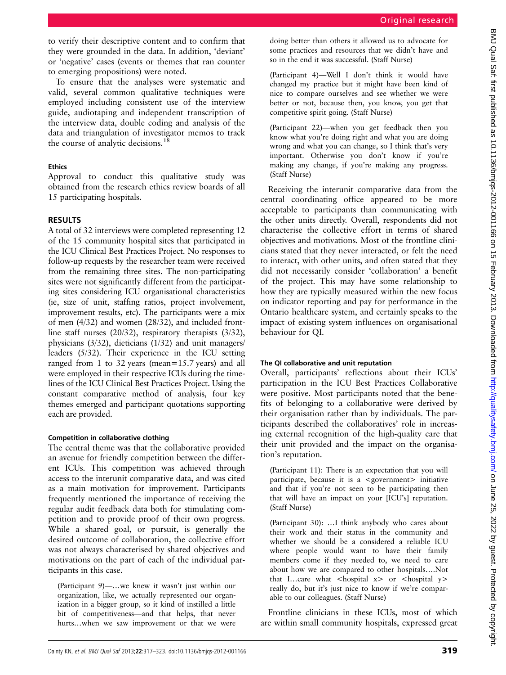to verify their descriptive content and to confirm that they were grounded in the data. In addition, 'deviant' or 'negative' cases (events or themes that ran counter to emerging propositions) were noted.

To ensure that the analyses were systematic and valid, several common qualitative techniques were employed including consistent use of the interview guide, audiotaping and independent transcription of the interview data, double coding and analysis of the data and triangulation of investigator memos to track the course of analytic decisions.<sup>18</sup>

## Ethics

Approval to conduct this qualitative study was obtained from the research ethics review boards of all 15 participating hospitals.

#### RESULTS

A total of 32 interviews were completed representing 12 of the 15 community hospital sites that participated in the ICU Clinical Best Practices Project. No responses to follow-up requests by the researcher team were received from the remaining three sites. The non-participating sites were not significantly different from the participating sites considering ICU organisational characteristics (ie, size of unit, staffing ratios, project involvement, improvement results, etc). The participants were a mix of men (4/32) and women (28/32), and included frontline staff nurses (20/32), respiratory therapists (3/32), physicians (3/32), dieticians (1/32) and unit managers/ leaders (5/32). Their experience in the ICU setting ranged from 1 to 32 years (mean=15.7 years) and all were employed in their respective ICUs during the timelines of the ICU Clinical Best Practices Project. Using the constant comparative method of analysis, four key themes emerged and participant quotations supporting each are provided.

#### Competition in collaborative clothing

The central theme was that the collaborative provided an avenue for friendly competition between the different ICUs. This competition was achieved through access to the interunit comparative data, and was cited as a main motivation for improvement. Participants frequently mentioned the importance of receiving the regular audit feedback data both for stimulating competition and to provide proof of their own progress. While a shared goal, or pursuit, is generally the desired outcome of collaboration, the collective effort was not always characterised by shared objectives and motivations on the part of each of the individual participants in this case.

(Participant 9)—…we knew it wasn't just within our organization, like, we actually represented our organization in a bigger group, so it kind of instilled a little bit of competitiveness—and that helps, that never hurts…when we saw improvement or that we were doing better than others it allowed us to advocate for some practices and resources that we didn't have and so in the end it was successful. (Staff Nurse)

(Participant 4)—Well I don't think it would have changed my practice but it might have been kind of nice to compare ourselves and see whether we were better or not, because then, you know, you get that competitive spirit going. (Staff Nurse)

(Participant 22)—when you get feedback then you know what you're doing right and what you are doing wrong and what you can change, so I think that's very important. Otherwise you don't know if you're making any change, if you're making any progress. (Staff Nurse)

Receiving the interunit comparative data from the central coordinating office appeared to be more acceptable to participants than communicating with the other units directly. Overall, respondents did not characterise the collective effort in terms of shared objectives and motivations. Most of the frontline clinicians stated that they never interacted, or felt the need to interact, with other units, and often stated that they did not necessarily consider 'collaboration' a benefit of the project. This may have some relationship to how they are typically measured within the new focus on indicator reporting and pay for performance in the Ontario healthcare system, and certainly speaks to the impact of existing system influences on organisational behaviour for QI.

#### The QI collaborative and unit reputation

Overall, participants' reflections about their ICUs' participation in the ICU Best Practices Collaborative were positive. Most participants noted that the benefits of belonging to a collaborative were derived by their organisation rather than by individuals. The participants described the collaboratives' role in increasing external recognition of the high-quality care that their unit provided and the impact on the organisation's reputation.

(Participant 11): There is an expectation that you will participate, because it is a <government> initiative and that if you're not seen to be participating then that will have an impact on your [ICU's] reputation. (Staff Nurse)

(Participant 30): …I think anybody who cares about their work and their status in the community and whether we should be a considered a reliable ICU where people would want to have their family members come if they needed to, we need to care about how we are compared to other hospitals….Not that I...care what <hospital x> or <hospital y> really do, but it's just nice to know if we're comparable to our colleagues. (Staff Nurse)

Frontline clinicians in these ICUs, most of which are within small community hospitals, expressed great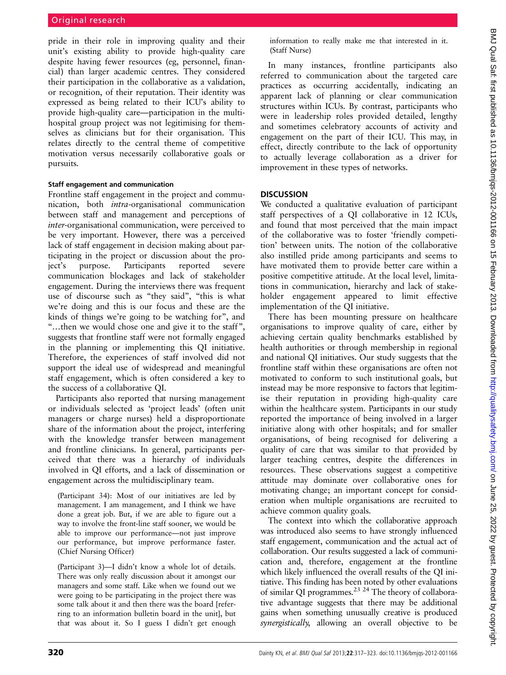pride in their role in improving quality and their unit's existing ability to provide high-quality care despite having fewer resources (eg, personnel, financial) than larger academic centres. They considered their participation in the collaborative as a validation, or recognition, of their reputation. Their identity was expressed as being related to their ICU's ability to provide high-quality care—participation in the multihospital group project was not legitimising for themselves as clinicians but for their organisation. This relates directly to the central theme of competitive motivation versus necessarily collaborative goals or pursuits.

#### Staff engagement and communication

Frontline staff engagement in the project and communication, both intra-organisational communication between staff and management and perceptions of inter-organisational communication, were perceived to be very important. However, there was a perceived lack of staff engagement in decision making about participating in the project or discussion about the project's purpose. Participants reported severe communication blockages and lack of stakeholder engagement. During the interviews there was frequent use of discourse such as "they said", "this is what we're doing and this is our focus and these are the kinds of things we're going to be watching for", and "…then we would chose one and give it to the staff ", suggests that frontline staff were not formally engaged in the planning or implementing this QI initiative. Therefore, the experiences of staff involved did not support the ideal use of widespread and meaningful staff engagement, which is often considered a key to the success of a collaborative QI.

Participants also reported that nursing management or individuals selected as 'project leads' (often unit managers or charge nurses) held a disproportionate share of the information about the project, interfering with the knowledge transfer between management and frontline clinicians. In general, participants perceived that there was a hierarchy of individuals involved in QI efforts, and a lack of dissemination or engagement across the multidisciplinary team.

(Participant 34): Most of our initiatives are led by management. I am management, and I think we have done a great job. But, if we are able to figure out a way to involve the front-line staff sooner, we would be able to improve our performance—not just improve our performance, but improve performance faster. (Chief Nursing Officer)

(Participant 3)—I didn't know a whole lot of details. There was only really discussion about it amongst our managers and some staff. Like when we found out we were going to be participating in the project there was some talk about it and then there was the board [referring to an information bulletin board in the unit], but that was about it. So I guess I didn't get enough information to really make me that interested in it. (Staff Nurse)

In many instances, frontline participants also referred to communication about the targeted care practices as occurring accidentally, indicating an apparent lack of planning or clear communication structures within ICUs. By contrast, participants who were in leadership roles provided detailed, lengthy and sometimes celebratory accounts of activity and engagement on the part of their ICU. This may, in effect, directly contribute to the lack of opportunity to actually leverage collaboration as a driver for improvement in these types of networks.

# **DISCUSSION**

We conducted a qualitative evaluation of participant staff perspectives of a QI collaborative in 12 ICUs, and found that most perceived that the main impact of the collaborative was to foster 'friendly competition' between units. The notion of the collaborative also instilled pride among participants and seems to have motivated them to provide better care within a positive competitive attitude. At the local level, limitations in communication, hierarchy and lack of stakeholder engagement appeared to limit effective implementation of the QI initiative.

There has been mounting pressure on healthcare organisations to improve quality of care, either by achieving certain quality benchmarks established by health authorities or through membership in regional and national QI initiatives. Our study suggests that the frontline staff within these organisations are often not motivated to conform to such institutional goals, but instead may be more responsive to factors that legitimise their reputation in providing high-quality care within the healthcare system. Participants in our study reported the importance of being involved in a larger initiative along with other hospitals; and for smaller organisations, of being recognised for delivering a quality of care that was similar to that provided by larger teaching centres, despite the differences in resources. These observations suggest a competitive attitude may dominate over collaborative ones for motivating change; an important concept for consideration when multiple organisations are recruited to achieve common quality goals.

The context into which the collaborative approach was introduced also seems to have strongly influenced staff engagement, communication and the actual act of collaboration. Our results suggested a lack of communication and, therefore, engagement at the frontline which likely influenced the overall results of the QI initiative. This finding has been noted by other evaluations of similar QI programmes.<sup>23 24</sup> The theory of collaborative advantage suggests that there may be additional gains when something unusually creative is produced synergistically, allowing an overall objective to be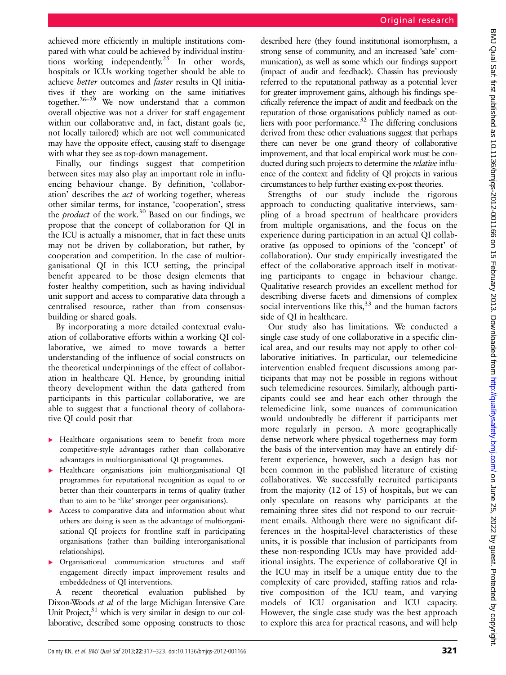achieved more efficiently in multiple institutions compared with what could be achieved by individual institutions working independently.<sup>25</sup> In other words, hospitals or ICUs working together should be able to achieve better outcomes and faster results in QI initiatives if they are working on the same initiatives together.  $26-29$  We now understand that a common overall objective was not a driver for staff engagement within our collaborative and, in fact, distant goals (ie, not locally tailored) which are not well communicated may have the opposite effect, causing staff to disengage with what they see as top-down management.

Finally, our findings suggest that competition between sites may also play an important role in influencing behaviour change. By definition, 'collaboration' describes the act of working together, whereas other similar terms, for instance, 'cooperation', stress the *product* of the work.<sup>30</sup> Based on our findings, we propose that the concept of collaboration for QI in the ICU is actually a misnomer, that in fact these units may not be driven by collaboration, but rather, by cooperation and competition. In the case of multiorganisational QI in this ICU setting, the principal benefit appeared to be those design elements that foster healthy competition, such as having individual unit support and access to comparative data through a centralised resource, rather than from consensusbuilding or shared goals.

By incorporating a more detailed contextual evaluation of collaborative efforts within a working QI collaborative, we aimed to move towards a better understanding of the influence of social constructs on the theoretical underpinnings of the effect of collaboration in healthcare QI. Hence, by grounding initial theory development within the data gathered from participants in this particular collaborative, we are able to suggest that a functional theory of collaborative QI could posit that

- ▸ Healthcare organisations seem to benefit from more competitive-style advantages rather than collaborative advantages in multiorganisational QI programmes.
- ▸ Healthcare organisations join multiorganisational QI programmes for reputational recognition as equal to or better than their counterparts in terms of quality (rather than to aim to be 'like' stronger peer organisations).
- Access to comparative data and information about what others are doing is seen as the advantage of multiorganisational QI projects for frontline staff in participating organisations (rather than building interorganisational relationships).
- ▸ Organisational communication structures and staff engagement directly impact improvement results and embeddedness of QI interventions.

A recent theoretical evaluation published by Dixon-Woods et al of the large Michigan Intensive Care Unit Project, $31$  which is very similar in design to our collaborative, described some opposing constructs to those

described here (they found institutional isomorphism, a strong sense of community, and an increased 'safe' communication), as well as some which our findings support (impact of audit and feedback). Chassin has previously referred to the reputational pathway as a potential lever for greater improvement gains, although his findings specifically reference the impact of audit and feedback on the reputation of those organisations publicly named as outliers with poor performance.<sup>32</sup> The differing conclusions derived from these other evaluations suggest that perhaps there can never be one grand theory of collaborative improvement, and that local empirical work must be conducted during such projects to determine the relative influence of the context and fidelity of QI projects in various circumstances to help further existing ex-post theories.

Strengths of our study include the rigorous approach to conducting qualitative interviews, sampling of a broad spectrum of healthcare providers from multiple organisations, and the focus on the experience during participation in an actual QI collaborative (as opposed to opinions of the 'concept' of collaboration). Our study empirically investigated the effect of the collaborative approach itself in motivating participants to engage in behaviour change. Qualitative research provides an excellent method for describing diverse facets and dimensions of complex social interventions like this, $33$  and the human factors side of QI in healthcare.

Our study also has limitations. We conducted a single case study of one collaborative in a specific clinical area, and our results may not apply to other collaborative initiatives. In particular, our telemedicine intervention enabled frequent discussions among participants that may not be possible in regions without such telemedicine resources. Similarly, although participants could see and hear each other through the telemedicine link, some nuances of communication would undoubtedly be different if participants met more regularly in person. A more geographically dense network where physical togetherness may form the basis of the intervention may have an entirely different experience, however, such a design has not been common in the published literature of existing collaboratives. We successfully recruited participants from the majority (12 of 15) of hospitals, but we can only speculate on reasons why participants at the remaining three sites did not respond to our recruitment emails. Although there were no significant differences in the hospital-level characteristics of these units, it is possible that inclusion of participants from these non-responding ICUs may have provided additional insights. The experience of collaborative QI in the ICU may in itself be a unique entity due to the complexity of care provided, staffing ratios and relative composition of the ICU team, and varying models of ICU organisation and ICU capacity. However, the single case study was the best approach to explore this area for practical reasons, and will help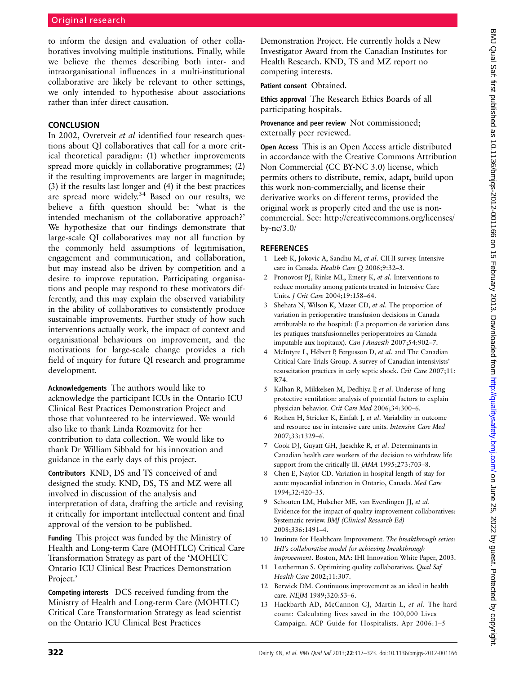# Original research

to inform the design and evaluation of other collaboratives involving multiple institutions. Finally, while we believe the themes describing both inter- and intraorganisational influences in a multi-institutional collaborative are likely be relevant to other settings, we only intended to hypothesise about associations rather than infer direct causation.

## **CONCLUSION**

In 2002, Ovretveit et al identified four research questions about QI collaboratives that call for a more critical theoretical paradigm: (1) whether improvements spread more quickly in collaborative programmes; (2) if the resulting improvements are larger in magnitude; (3) if the results last longer and (4) if the best practices are spread more widely.<sup>34</sup> Based on our results, we believe a fifth question should be: 'what is the intended mechanism of the collaborative approach?' We hypothesize that our findings demonstrate that large-scale QI collaboratives may not all function by the commonly held assumptions of legitimisation, engagement and communication, and collaboration, but may instead also be driven by competition and a desire to improve reputation. Participating organisations and people may respond to these motivators differently, and this may explain the observed variability in the ability of collaboratives to consistently produce sustainable improvements. Further study of how such interventions actually work, the impact of context and organisational behaviours on improvement, and the motivations for large-scale change provides a rich field of inquiry for future QI research and programme development.

Acknowledgements The authors would like to acknowledge the participant ICUs in the Ontario ICU Clinical Best Practices Demonstration Project and those that volunteered to be interviewed. We would also like to thank Linda Rozmovitz for her contribution to data collection. We would like to thank Dr William Sibbald for his innovation and guidance in the early days of this project.

Contributors KND, DS and TS conceived of and designed the study. KND, DS, TS and MZ were all involved in discussion of the analysis and interpretation of data, drafting the article and revising it critically for important intellectual content and final approval of the version to be published.

Funding This project was funded by the Ministry of Health and Long-term Care (MOHTLC) Critical Care Transformation Strategy as part of the 'MOHLTC Ontario ICU Clinical Best Practices Demonstration Project.'

Competing interests DCS received funding from the Ministry of Health and Long-term Care (MOHTLC) Critical Care Transformation Strategy as lead scientist on the Ontario ICU Clinical Best Practices

Demonstration Project. He currently holds a New Investigator Award from the Canadian Institutes for Health Research. KND, TS and MZ report no competing interests.

Patient consent Obtained.

Ethics approval The Research Ethics Boards of all participating hospitals.

Provenance and peer review Not commissioned; externally peer reviewed.

Open Access This is an Open Access article distributed in accordance with the Creative Commons Attribution Non Commercial (CC BY-NC 3.0) license, which permits others to distribute, remix, adapt, build upon this work non-commercially, and license their derivative works on different terms, provided the original work is properly cited and the use is noncommercial. See: http://creativecommons.org/licenses/ by-nc/3.0/

#### **REFERENCES**

- 1 Leeb K, Jokovic A, Sandhu M, et al. CIHI survey. Intensive care in Canada. Health Care Q 2006;9:32–3.
- 2 Pronovost PJ, Rinke ML, Emery K, et al. Interventions to reduce mortality among patients treated in Intensive Care Units. J Crit Care 2004;19:158–64.
- 3 Shehata N, Wilson K, Mazer CD, et al. The proportion of variation in perioperative transfusion decisions in Canada attributable to the hospital: (La proportion de variation dans les pratiques transfusionnelles perioperatoires au Canada imputable aux hopitaux). Can J Anaesth 2007;54:902–7.
- 4 McIntyre L, Hébert P, Fergusson D, et al. and The Canadian Critical Care Trials Group. A survey of Canadian intensivists' resuscitation practices in early septic shock. Crit Care 2007;11: R74.
- 5 Kalhan R, Mikkelsen M, Dedhiya P, et al. Underuse of lung protective ventilation: analysis of potential factors to explain physician behavior. Crit Care Med 2006;34:300–6.
- Rothen H, Stricker K, Einfalt J, et al. Variability in outcome and resource use in intensive care units. Intensive Care Med 2007;33:1329–6.
- 7 Cook DJ, Guyatt GH, Jaeschke R, et al. Determinants in Canadian health care workers of the decision to withdraw life support from the critically Ill. JAMA 1995;273:703–8.
- 8 Chen E, Naylor CD. Variation in hospital length of stay for acute myocardial infarction in Ontario, Canada. Med Care 1994;32:420–35.
- Schouten LM, Hulscher ME, van Everdingen JJ, et al. Evidence for the impact of quality improvement collaboratives: Systematic review. BMJ (Clinical Research Ed) 2008;336:1491–4.
- 10 Institute for Healthcare Improvement. The breakthrough series: IHI's collaborative model for achieving breakthrough improvement. Boston, MA: IHI Innovation White Paper, 2003.
- 11 Leatherman S. Optimizing quality collaboratives. Qual Saf Health Care 2002;11:307.
- 12 Berwick DM. Continuous improvement as an ideal in health care. NEJM 1989;320:53–6.
- 13 Hackbarth AD, McCannon CJ, Martin L, et al. The hard count: Calculating lives saved in the 100,000 Lives Campaign. ACP Guide for Hospitalists. Apr 2006:1–5